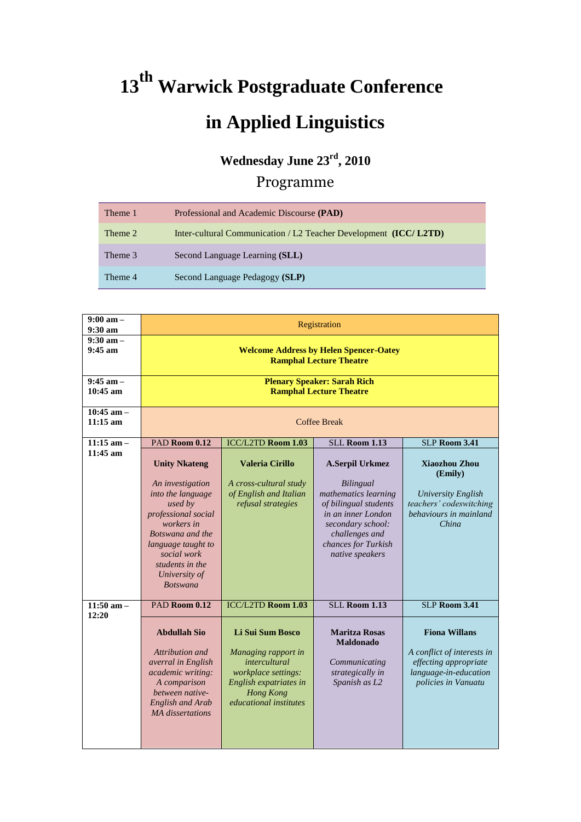## **<sup>13</sup>th Warwick Postgraduate Conference in Applied Linguistics**

## **Wednesday June 23rd, 2010**

## Programme

| Theme 1 | Professional and Academic Discourse (PAD)                         |
|---------|-------------------------------------------------------------------|
| Theme 2 | Inter-cultural Communication / L2 Teacher Development (ICC/ L2TD) |
| Theme 3 | Second Language Learning (SLL)                                    |
| Theme 4 | Second Language Pedagogy (SLP)                                    |

| $9:00 \text{ am} -$<br>$9:30 \text{ am}$ | Registration                                                                                                                                                                                                                  |                                                                                                                                                                       |                                                                                                                                                                                      |                                                                                                                             |  |  |
|------------------------------------------|-------------------------------------------------------------------------------------------------------------------------------------------------------------------------------------------------------------------------------|-----------------------------------------------------------------------------------------------------------------------------------------------------------------------|--------------------------------------------------------------------------------------------------------------------------------------------------------------------------------------|-----------------------------------------------------------------------------------------------------------------------------|--|--|
| $9:30$ am $-$<br>$9:45 \text{ am}$       | <b>Welcome Address by Helen Spencer-Oatey</b><br><b>Ramphal Lecture Theatre</b>                                                                                                                                               |                                                                                                                                                                       |                                                                                                                                                                                      |                                                                                                                             |  |  |
| $9:45$ am -<br>$10:45$ am                | <b>Plenary Speaker: Sarah Rich</b><br><b>Ramphal Lecture Theatre</b>                                                                                                                                                          |                                                                                                                                                                       |                                                                                                                                                                                      |                                                                                                                             |  |  |
| $10:45$ am -<br>$11:15$ am               | <b>Coffee Break</b>                                                                                                                                                                                                           |                                                                                                                                                                       |                                                                                                                                                                                      |                                                                                                                             |  |  |
| $11:15$ am -                             | PAD Room 0.12                                                                                                                                                                                                                 | ICC/L2TD Room 1.03                                                                                                                                                    | <b>SLL Room 1.13</b>                                                                                                                                                                 | <b>SLP Room 3.41</b>                                                                                                        |  |  |
| $11:45$ am                               | <b>Unity Nkateng</b><br>An investigation<br>into the language<br>used by<br>professional social<br>workers in<br>Botswana and the<br>language taught to<br>social work<br>students in the<br>University of<br><i>Botswana</i> | <b>Valeria Cirillo</b><br>A cross-cultural study<br>of English and Italian<br>refusal strategies                                                                      | A.Serpil Urkmez<br>Bilingual<br>mathematics learning<br>of bilingual students<br>in an inner London<br>secondary school:<br>challenges and<br>chances for Turkish<br>native speakers | Xiaozhou Zhou<br>(Emily)<br><b>University English</b><br>teachers' codeswitching<br>behaviours in mainland<br>China         |  |  |
| $11:50$ am -<br>12:20                    | PAD Room 0.12                                                                                                                                                                                                                 | <b>ICC/L2TD Room 1.03</b>                                                                                                                                             | <b>SLL Room 1.13</b>                                                                                                                                                                 | SLP Room 3.41                                                                                                               |  |  |
|                                          | <b>Abdullah Sio</b><br>Attribution and<br>averral in English<br>academic writing:<br>A comparison<br>between native-<br><b>English and Arab</b><br><b>MA</b> dissertations                                                    | <b>Li Sui Sum Bosco</b><br>Managing rapport in<br>intercultural<br>workplace settings:<br>English expatriates in<br><b>Hong Kong</b><br><i>educational institutes</i> | <b>Maritza Rosas</b><br><b>Maldonado</b><br>Communicating<br>strategically in<br>Spanish as L2                                                                                       | <b>Fiona Willans</b><br>A conflict of interests in<br>effecting appropriate<br>language-in-education<br>policies in Vanuatu |  |  |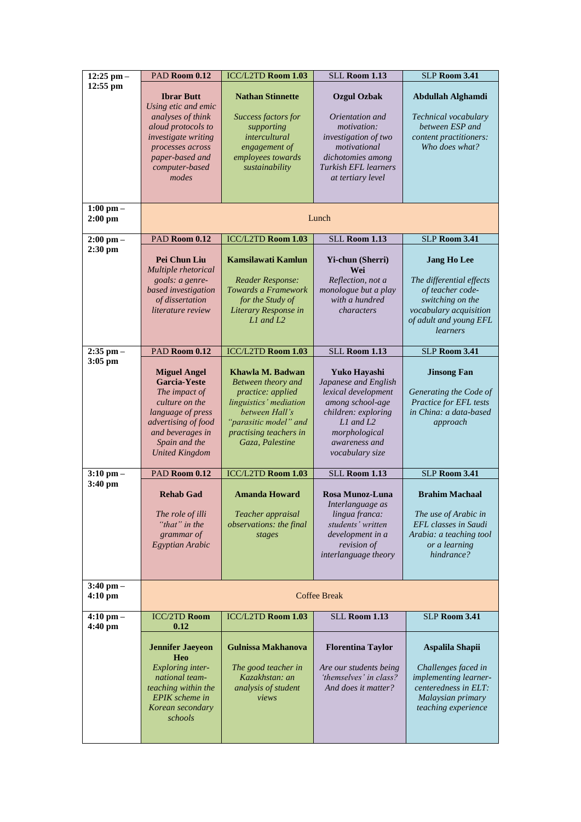| $12:25$ pm $-$                     | PAD Room 0.12                                                                                                                                                                           | ICC/L2TD Room 1.03                                                                                                                                                            | <b>SLL Room 1.13</b>                                                                                                                                                     | <b>SLP Room 3.41</b>                                                                                                                                   |  |
|------------------------------------|-----------------------------------------------------------------------------------------------------------------------------------------------------------------------------------------|-------------------------------------------------------------------------------------------------------------------------------------------------------------------------------|--------------------------------------------------------------------------------------------------------------------------------------------------------------------------|--------------------------------------------------------------------------------------------------------------------------------------------------------|--|
| $12:55$ pm                         | <b>Ibrar Butt</b>                                                                                                                                                                       | <b>Nathan Stinnette</b>                                                                                                                                                       | <b>Ozgul Ozbak</b>                                                                                                                                                       | Abdullah Alghamdi                                                                                                                                      |  |
|                                    | Using etic and emic<br>analyses of think<br>aloud protocols to<br>investigate writing<br>processes across<br>paper-based and<br>computer-based<br>modes                                 | Success factors for<br>supporting<br><i>intercultural</i><br>engagement of<br>employees towards<br>sustainability                                                             | Orientation and<br>motivation:<br>investigation of two<br>motivational<br>dichotomies among<br><b>Turkish EFL learners</b><br>at tertiary level                          | Technical vocabulary<br>between ESP and<br>content practitioners:<br>Who does what?                                                                    |  |
| $1:00$ pm $-$<br>$2:00$ pm         | Lunch                                                                                                                                                                                   |                                                                                                                                                                               |                                                                                                                                                                          |                                                                                                                                                        |  |
| $2:00$ pm $-$                      | PAD Room 0.12                                                                                                                                                                           | ICC/L2TD Room 1.03                                                                                                                                                            | <b>SLL Room 1.13</b>                                                                                                                                                     | <b>SLP Room 3.41</b>                                                                                                                                   |  |
| 2:30 pm                            | Pei Chun Liu<br>Multiple rhetorical<br>goals: a genre-<br>based investigation<br>of dissertation<br><i>literature review</i>                                                            | Kamsilawati Kamlun<br><b>Reader Response:</b><br>Towards a Framework<br>for the Study of<br>Literary Response in<br>$L1$ and $L2$                                             | Yi-chun (Sherri)<br>Wei<br>Reflection, not a<br>monologue but a play<br>with a hundred<br>characters                                                                     | <b>Jang Ho Lee</b><br>The differential effects<br>of teacher code-<br>switching on the<br>vocabulary acquisition<br>of adult and young EFL<br>learners |  |
| $2:35$ pm $-$                      | PAD Room 0.12                                                                                                                                                                           | ICC/L2TD Room 1.03                                                                                                                                                            | <b>SLL Room 1.13</b>                                                                                                                                                     | SLP Room 3.41                                                                                                                                          |  |
| $3:05$ pm                          | <b>Miguel Angel</b><br><b>Garcia-Yeste</b><br>The impact of<br>culture on the<br>language of press<br>advertising of food<br>and beverages in<br>Spain and the<br><b>United Kingdom</b> | Khawla M. Badwan<br>Between theory and<br>practice: applied<br>linguistics' mediation<br>between Hall's<br>"parasitic model" and<br>practising teachers in<br>Gaza, Palestine | Yuko Hayashi<br>Japanese and English<br>lexical development<br>among school-age<br>children: exploring<br>L1 and L2<br>morphological<br>awareness and<br>vocabulary size | <b>Jinsong Fan</b><br>Generating the Code of<br>Practice for EFL tests<br>in China: a data-based<br>approach                                           |  |
| $3:10$ pm $-$                      | PAD Room 0.12                                                                                                                                                                           | <b>ICC/L2TD Room 1.03</b>                                                                                                                                                     | SLL Room 1.13                                                                                                                                                            | <b>SLP Room 3.41</b>                                                                                                                                   |  |
| 3:40 pm                            | <b>Rehab Gad</b><br>The role of illi<br>"that" in the<br>grammar of<br>Egyptian Arabic                                                                                                  | <b>Amanda Howard</b><br>Teacher appraisal<br>observations: the final<br>stages                                                                                                | <b>Rosa Munoz-Luna</b><br>Interlanguage as<br>lingua franca:<br>students' written<br>development in a<br>revision of<br>interlanguage theory                             | <b>Brahim Machaal</b><br>The use of Arabic in<br>EFL classes in Saudi<br>Arabia: a teaching tool<br>or a learning<br>hindrance?                        |  |
| $3:40$ pm $-$<br>$4:10 \text{ pm}$ | <b>Coffee Break</b>                                                                                                                                                                     |                                                                                                                                                                               |                                                                                                                                                                          |                                                                                                                                                        |  |
| $4:10 \text{ pm} -$<br>4:40 pm     | <b>ICC/2TD Room</b><br>0.12                                                                                                                                                             | ICC/L2TD Room 1.03                                                                                                                                                            | <b>SLL Room 1.13</b>                                                                                                                                                     | <b>SLP Room 3.41</b>                                                                                                                                   |  |
|                                    | <b>Jennifer Jaeyeon</b><br>Heo                                                                                                                                                          | <b>Gulnissa Makhanova</b>                                                                                                                                                     | <b>Florentina Taylor</b>                                                                                                                                                 | Aspalila Shapii                                                                                                                                        |  |
|                                    | <b>Exploring</b> inter-<br>national team-<br>teaching within the<br>EPIK scheme in<br>Korean secondary<br>schools                                                                       | The good teacher in<br>Kazakhstan: an<br>analysis of student<br>views                                                                                                         | Are our students being<br>'themselves' in class?<br>And does it matter?                                                                                                  | Challenges faced in<br>implementing learner-<br>centeredness in ELT:<br>Malaysian primary<br>teaching experience                                       |  |